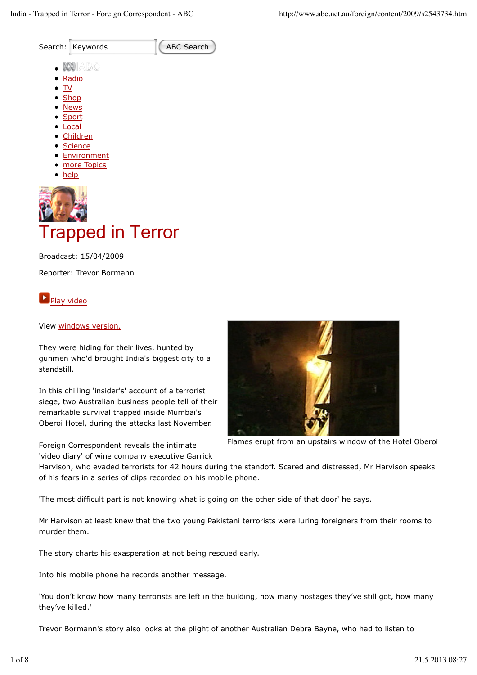

# Trapped in Terror

Broadcast: 15/04/2009 Reporter: Trevor Bormann

Play video

#### View windows version.

They were hiding for their lives, hunted by gunmen who'd brought India's biggest city to a standstill.

In this chilling 'insider's' account of a terrorist siege, two Australian business people tell of their remarkable survival trapped inside Mumbai's Oberoi Hotel, during the attacks last November.

Foreign Correspondent reveals the intimate 'video diary' of wine company executive Garrick



Flames erupt from an upstairs window of the Hotel Oberoi

Harvison, who evaded terrorists for 42 hours during the standoff. Scared and distressed, Mr Harvison speaks of his fears in a series of clips recorded on his mobile phone.

'The most difficult part is not knowing what is going on the other side of that door' he says.

Mr Harvison at least knew that the two young Pakistani terrorists were luring foreigners from their rooms to murder them.

The story charts his exasperation at not being rescued early.

Into his mobile phone he records another message.

'You don't know how many terrorists are left in the building, how many hostages they've still got, how many they've killed.'

Trevor Bormann's story also looks at the plight of another Australian Debra Bayne, who had to listen to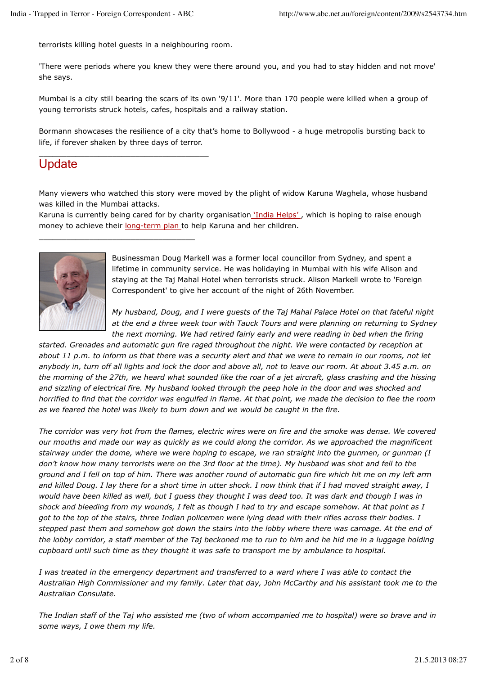terrorists killing hotel guests in a neighbouring room.

\_\_\_\_\_\_\_\_\_\_\_\_\_\_\_\_\_\_\_\_\_\_\_\_\_\_\_\_\_\_\_\_\_\_\_\_\_

\_\_\_\_\_\_\_\_\_\_\_\_\_\_\_\_\_\_\_\_\_\_\_\_\_\_\_\_\_\_\_\_\_\_

'There were periods where you knew they were there around you, and you had to stay hidden and not move' she says.

Mumbai is a city still bearing the scars of its own '9/11'. More than 170 people were killed when a group of young terrorists struck hotels, cafes, hospitals and a railway station.

Bormann showcases the resilience of a city that's home to Bollywood - a huge metropolis bursting back to life, if forever shaken by three days of terror.

### **Update**

Many viewers who watched this story were moved by the plight of widow Karuna Waghela, whose husband was killed in the Mumbai attacks.

Karuna is currently being cared for by charity organisation 'India Helps', which is hoping to raise enough money to achieve their long-term plan to help Karuna and her children.



Businessman Doug Markell was a former local councillor from Sydney, and spent a lifetime in community service. He was holidaying in Mumbai with his wife Alison and staying at the Taj Mahal Hotel when terrorists struck. Alison Markell wrote to 'Foreign Correspondent' to give her account of the night of 26th November.

*My husband, Doug, and I were guests of the Taj Mahal Palace Hotel on that fateful night at the end a three week tour with Tauck Tours and were planning on returning to Sydney the next morning. We had retired fairly early and were reading in bed when the firing*

*started. Grenades and automatic gun fire raged throughout the night. We were contacted by reception at about 11 p.m. to inform us that there was a security alert and that we were to remain in our rooms, not let anybody in, turn off all lights and lock the door and above all, not to leave our room. At about 3.45 a.m. on the morning of the 27th, we heard what sounded like the roar of a jet aircraft, glass crashing and the hissing and sizzling of electrical fire. My husband looked through the peep hole in the door and was shocked and horrified to find that the corridor was engulfed in flame. At that point, we made the decision to flee the room as we feared the hotel was likely to burn down and we would be caught in the fire.*

*The corridor was very hot from the flames, electric wires were on fire and the smoke was dense. We covered our mouths and made our way as quickly as we could along the corridor. As we approached the magnificent stairway under the dome, where we were hoping to escape, we ran straight into the gunmen, or gunman (I don't know how many terrorists were on the 3rd floor at the time). My husband was shot and fell to the ground and I fell on top of him. There was another round of automatic gun fire which hit me on my left arm and killed Doug. I lay there for a short time in utter shock. I now think that if I had moved straight away, I would have been killed as well, but I guess they thought I was dead too. It was dark and though I was in shock and bleeding from my wounds, I felt as though I had to try and escape somehow. At that point as I got to the top of the stairs, three Indian policemen were lying dead with their rifles across their bodies. I stepped past them and somehow got down the stairs into the lobby where there was carnage. At the end of the lobby corridor, a staff member of the Taj beckoned me to run to him and he hid me in a luggage holding cupboard until such time as they thought it was safe to transport me by ambulance to hospital.*

*I was treated in the emergency department and transferred to a ward where I was able to contact the Australian High Commissioner and my family. Later that day, John McCarthy and his assistant took me to the Australian Consulate.*

*The Indian staff of the Taj who assisted me (two of whom accompanied me to hospital) were so brave and in some ways, I owe them my life.*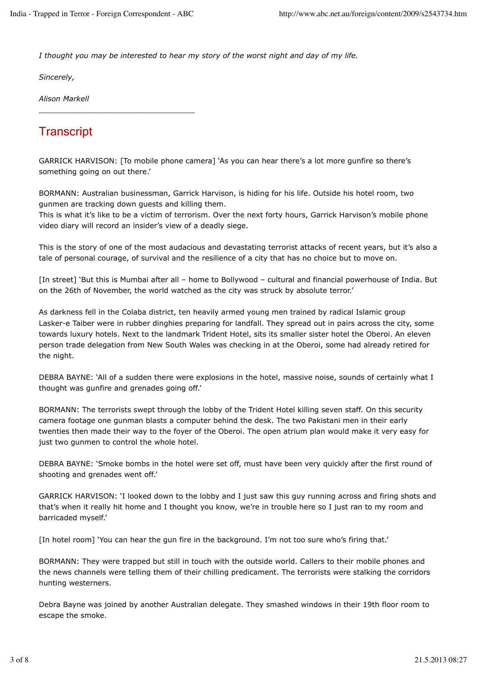\_\_\_\_\_\_\_\_\_\_\_\_\_\_\_\_\_\_\_\_\_\_\_\_\_\_\_\_\_\_\_\_\_\_

*I thought you may be interested to hear my story of the worst night and day of my life.*

*Sincerely,*

*Alison Markell*

# **Transcript**

GARRICK HARVISON: [To mobile phone camera] 'As you can hear there's a lot more gunfire so there's something going on out there.'

BORMANN: Australian businessman, Garrick Harvison, is hiding for his life. Outside his hotel room, two gunmen are tracking down guests and killing them.

This is what it's like to be a victim of terrorism. Over the next forty hours, Garrick Harvison's mobile phone video diary will record an insider's view of a deadly siege.

This is the story of one of the most audacious and devastating terrorist attacks of recent years, but it's also a tale of personal courage, of survival and the resilience of a city that has no choice but to move on.

[In street] 'But this is Mumbai after all – home to Bollywood – cultural and financial powerhouse of India. But on the 26th of November, the world watched as the city was struck by absolute terror.'

As darkness fell in the Colaba district, ten heavily armed young men trained by radical Islamic group Lasker-e Taiber were in rubber dinghies preparing for landfall. They spread out in pairs across the city, some towards luxury hotels. Next to the landmark Trident Hotel, sits its smaller sister hotel the Oberoi. An eleven person trade delegation from New South Wales was checking in at the Oberoi, some had already retired for the night.

DEBRA BAYNE: 'All of a sudden there were explosions in the hotel, massive noise, sounds of certainly what I thought was gunfire and grenades going off.'

BORMANN: The terrorists swept through the lobby of the Trident Hotel killing seven staff. On this security camera footage one gunman blasts a computer behind the desk. The two Pakistani men in their early twenties then made their way to the foyer of the Oberoi. The open atrium plan would make it very easy for just two gunmen to control the whole hotel.

DEBRA BAYNE: 'Smoke bombs in the hotel were set off, must have been very quickly after the first round of shooting and grenades went off.'

GARRICK HARVISON: 'I looked down to the lobby and I just saw this guy running across and firing shots and that's when it really hit home and I thought you know, we're in trouble here so I just ran to my room and barricaded myself.'

[In hotel room] 'You can hear the gun fire in the background. I'm not too sure who's firing that.'

BORMANN: They were trapped but still in touch with the outside world. Callers to their mobile phones and the news channels were telling them of their chilling predicament. The terrorists were stalking the corridors hunting westerners.

Debra Bayne was joined by another Australian delegate. They smashed windows in their 19th floor room to escape the smoke.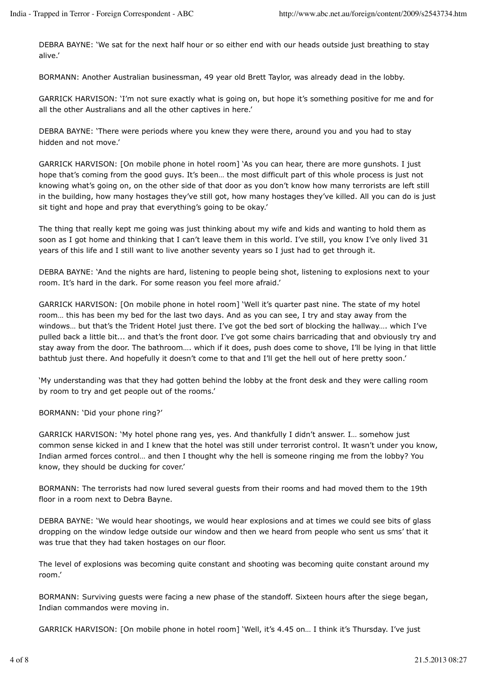DEBRA BAYNE: 'We sat for the next half hour or so either end with our heads outside just breathing to stay alive.'

BORMANN: Another Australian businessman, 49 year old Brett Taylor, was already dead in the lobby.

GARRICK HARVISON: 'I'm not sure exactly what is going on, but hope it's something positive for me and for all the other Australians and all the other captives in here.'

DEBRA BAYNE: 'There were periods where you knew they were there, around you and you had to stay hidden and not move.'

GARRICK HARVISON: [On mobile phone in hotel room] 'As you can hear, there are more gunshots. I just hope that's coming from the good guys. It's been… the most difficult part of this whole process is just not knowing what's going on, on the other side of that door as you don't know how many terrorists are left still in the building, how many hostages they've still got, how many hostages they've killed. All you can do is just sit tight and hope and pray that everything's going to be okay.'

The thing that really kept me going was just thinking about my wife and kids and wanting to hold them as soon as I got home and thinking that I can't leave them in this world. I've still, you know I've only lived 31 years of this life and I still want to live another seventy years so I just had to get through it.

DEBRA BAYNE: 'And the nights are hard, listening to people being shot, listening to explosions next to your room. It's hard in the dark. For some reason you feel more afraid.'

GARRICK HARVISON: [On mobile phone in hotel room] 'Well it's quarter past nine. The state of my hotel room… this has been my bed for the last two days. And as you can see, I try and stay away from the windows… but that's the Trident Hotel just there. I've got the bed sort of blocking the hallway…. which I've pulled back a little bit... and that's the front door. I've got some chairs barricading that and obviously try and stay away from the door. The bathroom…. which if it does, push does come to shove, I'll be lying in that little bathtub just there. And hopefully it doesn't come to that and I'll get the hell out of here pretty soon.'

'My understanding was that they had gotten behind the lobby at the front desk and they were calling room by room to try and get people out of the rooms.'

BORMANN: 'Did your phone ring?'

GARRICK HARVISON: 'My hotel phone rang yes, yes. And thankfully I didn't answer. I… somehow just common sense kicked in and I knew that the hotel was still under terrorist control. It wasn't under you know, Indian armed forces control… and then I thought why the hell is someone ringing me from the lobby? You know, they should be ducking for cover.'

BORMANN: The terrorists had now lured several guests from their rooms and had moved them to the 19th floor in a room next to Debra Bayne.

DEBRA BAYNE: 'We would hear shootings, we would hear explosions and at times we could see bits of glass dropping on the window ledge outside our window and then we heard from people who sent us sms' that it was true that they had taken hostages on our floor.

The level of explosions was becoming quite constant and shooting was becoming quite constant around my room.'

BORMANN: Surviving guests were facing a new phase of the standoff. Sixteen hours after the siege began, Indian commandos were moving in.

GARRICK HARVISON: [On mobile phone in hotel room] 'Well, it's 4.45 on… I think it's Thursday. I've just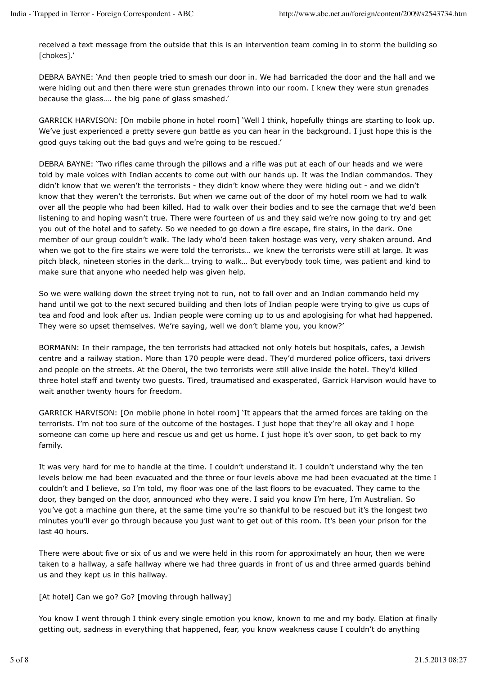received a text message from the outside that this is an intervention team coming in to storm the building so [chokes].'

DEBRA BAYNE: 'And then people tried to smash our door in. We had barricaded the door and the hall and we were hiding out and then there were stun grenades thrown into our room. I knew they were stun grenades because the glass…. the big pane of glass smashed.'

GARRICK HARVISON: [On mobile phone in hotel room] 'Well I think, hopefully things are starting to look up. We've just experienced a pretty severe gun battle as you can hear in the background. I just hope this is the good guys taking out the bad guys and we're going to be rescued.'

DEBRA BAYNE: 'Two rifles came through the pillows and a rifle was put at each of our heads and we were told by male voices with Indian accents to come out with our hands up. It was the Indian commandos. They didn't know that we weren't the terrorists - they didn't know where they were hiding out - and we didn't know that they weren't the terrorists. But when we came out of the door of my hotel room we had to walk over all the people who had been killed. Had to walk over their bodies and to see the carnage that we'd been listening to and hoping wasn't true. There were fourteen of us and they said we're now going to try and get you out of the hotel and to safety. So we needed to go down a fire escape, fire stairs, in the dark. One member of our group couldn't walk. The lady who'd been taken hostage was very, very shaken around. And when we got to the fire stairs we were told the terrorists… we knew the terrorists were still at large. It was pitch black, nineteen stories in the dark… trying to walk… But everybody took time, was patient and kind to make sure that anyone who needed help was given help.

So we were walking down the street trying not to run, not to fall over and an Indian commando held my hand until we got to the next secured building and then lots of Indian people were trying to give us cups of tea and food and look after us. Indian people were coming up to us and apologising for what had happened. They were so upset themselves. We're saying, well we don't blame you, you know?'

BORMANN: In their rampage, the ten terrorists had attacked not only hotels but hospitals, cafes, a Jewish centre and a railway station. More than 170 people were dead. They'd murdered police officers, taxi drivers and people on the streets. At the Oberoi, the two terrorists were still alive inside the hotel. They'd killed three hotel staff and twenty two guests. Tired, traumatised and exasperated, Garrick Harvison would have to wait another twenty hours for freedom.

GARRICK HARVISON: [On mobile phone in hotel room] 'It appears that the armed forces are taking on the terrorists. I'm not too sure of the outcome of the hostages. I just hope that they're all okay and I hope someone can come up here and rescue us and get us home. I just hope it's over soon, to get back to my family.

It was very hard for me to handle at the time. I couldn't understand it. I couldn't understand why the ten levels below me had been evacuated and the three or four levels above me had been evacuated at the time I couldn't and I believe, so I'm told, my floor was one of the last floors to be evacuated. They came to the door, they banged on the door, announced who they were. I said you know I'm here, I'm Australian. So you've got a machine gun there, at the same time you're so thankful to be rescued but it's the longest two minutes you'll ever go through because you just want to get out of this room. It's been your prison for the last 40 hours.

There were about five or six of us and we were held in this room for approximately an hour, then we were taken to a hallway, a safe hallway where we had three guards in front of us and three armed guards behind us and they kept us in this hallway.

[At hotel] Can we go? Go? [moving through hallway]

You know I went through I think every single emotion you know, known to me and my body. Elation at finally getting out, sadness in everything that happened, fear, you know weakness cause I couldn't do anything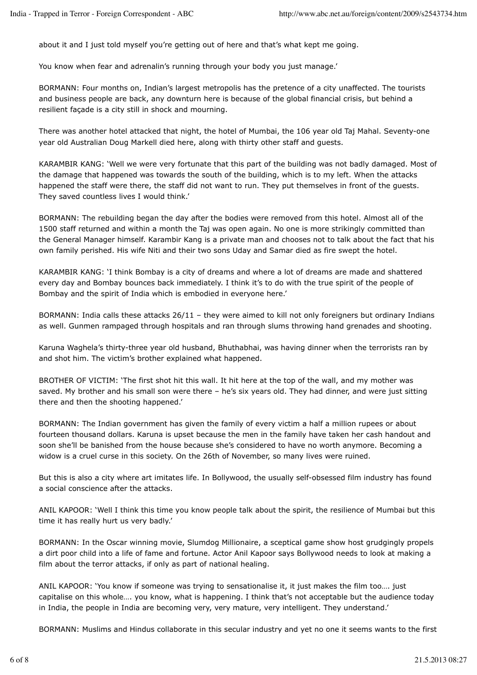about it and I just told myself you're getting out of here and that's what kept me going.

You know when fear and adrenalin's running through your body you just manage.'

BORMANN: Four months on, Indian's largest metropolis has the pretence of a city unaffected. The tourists and business people are back, any downturn here is because of the global financial crisis, but behind a resilient façade is a city still in shock and mourning.

There was another hotel attacked that night, the hotel of Mumbai, the 106 year old Taj Mahal. Seventy-one year old Australian Doug Markell died here, along with thirty other staff and guests.

KARAMBIR KANG: 'Well we were very fortunate that this part of the building was not badly damaged. Most of the damage that happened was towards the south of the building, which is to my left. When the attacks happened the staff were there, the staff did not want to run. They put themselves in front of the guests. They saved countless lives I would think.'

BORMANN: The rebuilding began the day after the bodies were removed from this hotel. Almost all of the 1500 staff returned and within a month the Taj was open again. No one is more strikingly committed than the General Manager himself. Karambir Kang is a private man and chooses not to talk about the fact that his own family perished. His wife Niti and their two sons Uday and Samar died as fire swept the hotel.

KARAMBIR KANG: 'I think Bombay is a city of dreams and where a lot of dreams are made and shattered every day and Bombay bounces back immediately. I think it's to do with the true spirit of the people of Bombay and the spirit of India which is embodied in everyone here.'

BORMANN: India calls these attacks 26/11 – they were aimed to kill not only foreigners but ordinary Indians as well. Gunmen rampaged through hospitals and ran through slums throwing hand grenades and shooting.

Karuna Waghela's thirty-three year old husband, Bhuthabhai, was having dinner when the terrorists ran by and shot him. The victim's brother explained what happened.

BROTHER OF VICTIM: 'The first shot hit this wall. It hit here at the top of the wall, and my mother was saved. My brother and his small son were there – he's six years old. They had dinner, and were just sitting there and then the shooting happened.'

BORMANN: The Indian government has given the family of every victim a half a million rupees or about fourteen thousand dollars. Karuna is upset because the men in the family have taken her cash handout and soon she'll be banished from the house because she's considered to have no worth anymore. Becoming a widow is a cruel curse in this society. On the 26th of November, so many lives were ruined.

But this is also a city where art imitates life. In Bollywood, the usually self-obsessed film industry has found a social conscience after the attacks.

ANIL KAPOOR: 'Well I think this time you know people talk about the spirit, the resilience of Mumbai but this time it has really hurt us very badly.'

BORMANN: In the Oscar winning movie, Slumdog Millionaire, a sceptical game show host grudgingly propels a dirt poor child into a life of fame and fortune. Actor Anil Kapoor says Bollywood needs to look at making a film about the terror attacks, if only as part of national healing.

ANIL KAPOOR: 'You know if someone was trying to sensationalise it, it just makes the film too…. just capitalise on this whole…. you know, what is happening. I think that's not acceptable but the audience today in India, the people in India are becoming very, very mature, very intelligent. They understand.'

BORMANN: Muslims and Hindus collaborate in this secular industry and yet no one it seems wants to the first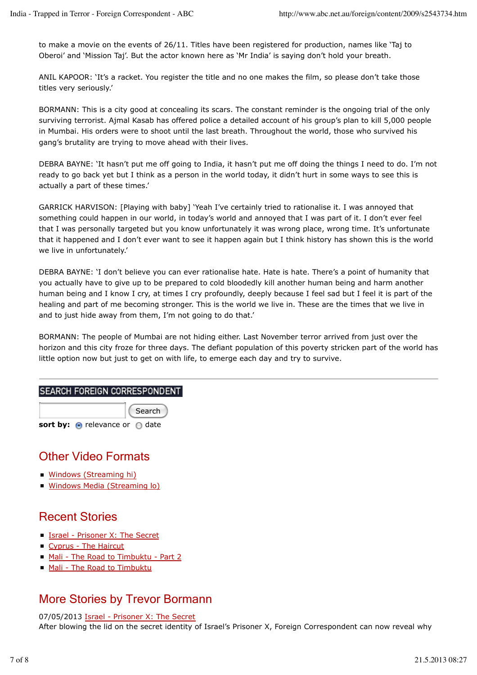to make a movie on the events of 26/11. Titles have been registered for production, names like 'Taj to Oberoi' and 'Mission Taj'. But the actor known here as 'Mr India' is saying don't hold your breath.

ANIL KAPOOR: 'It's a racket. You register the title and no one makes the film, so please don't take those titles very seriously.'

BORMANN: This is a city good at concealing its scars. The constant reminder is the ongoing trial of the only surviving terrorist. Ajmal Kasab has offered police a detailed account of his group's plan to kill 5,000 people in Mumbai. His orders were to shoot until the last breath. Throughout the world, those who survived his gang's brutality are trying to move ahead with their lives.

DEBRA BAYNE: 'It hasn't put me off going to India, it hasn't put me off doing the things I need to do. I'm not ready to go back yet but I think as a person in the world today, it didn't hurt in some ways to see this is actually a part of these times.'

GARRICK HARVISON: [Playing with baby] 'Yeah I've certainly tried to rationalise it. I was annoyed that something could happen in our world, in today's world and annoyed that I was part of it. I don't ever feel that I was personally targeted but you know unfortunately it was wrong place, wrong time. It's unfortunate that it happened and I don't ever want to see it happen again but I think history has shown this is the world we live in unfortunately.'

DEBRA BAYNE: 'I don't believe you can ever rationalise hate. Hate is hate. There's a point of humanity that you actually have to give up to be prepared to cold bloodedly kill another human being and harm another human being and I know I cry, at times I cry profoundly, deeply because I feel sad but I feel it is part of the healing and part of me becoming stronger. This is the world we live in. These are the times that we live in and to just hide away from them, I'm not going to do that.'

BORMANN: The people of Mumbai are not hiding either. Last November terror arrived from just over the horizon and this city froze for three days. The defiant population of this poverty stricken part of the world has little option now but just to get on with life, to emerge each day and try to survive.

#### SEARCH FOREIGN CORRESPONDENT

Search sort by: **o** relevance or **o** date

# Other Video Formats

- Windows (Streaming hi)
- **Windows Media (Streaming lo)**

# Recent Stories

- Israel Prisoner X: The Secret
- Cyprus The Haircut
- Mali The Road to Timbuktu Part 2
- Mali The Road to Timbuktu

# More Stories by Trevor Bormann

07/05/2013 Israel - Prisoner X: The Secret After blowing the lid on the secret identity of Israel's Prisoner X, Foreign Correspondent can now reveal why